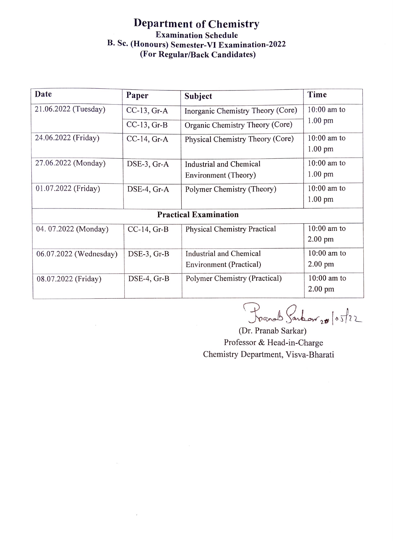## Department of Chemistry Examination Schedule B. Sc. (Honours) Semester-VI Examination-2022 (For Regular/Back Candidates)

| Date                         | Paper            | Subject                             | Time              |  |
|------------------------------|------------------|-------------------------------------|-------------------|--|
| 21.06.2022 (Tuesday)         | $CC-13$ , $Gr-A$ | Inorganic Chemistry Theory (Core)   | $10:00$ am to     |  |
|                              | $CC-13$ , $Gr-B$ | Organic Chemistry Theory (Core)     | $1.00$ pm         |  |
| 24.06.2022 (Friday)          | $CC-14$ , Gr-A   | Physical Chemistry Theory (Core)    | $10:00$ am to     |  |
|                              |                  |                                     | $1.00$ pm         |  |
| 27.06.2022 (Monday)          | DSE-3, Gr-A      | Industrial and Chemical             | $10:00$ am to     |  |
|                              |                  | Environment (Theory)                | $1.00 \text{ pm}$ |  |
| 01.07.2022 (Friday)          | DSE-4, Gr-A      | Polymer Chemistry (Theory)          | $10:00$ am to     |  |
|                              |                  |                                     | $1.00 \text{ pm}$ |  |
| <b>Practical Examination</b> |                  |                                     |                   |  |
| 04. 07.2022 (Monday)         | $CC-14$ , $Gr-B$ | <b>Physical Chemistry Practical</b> | $10:00$ am to     |  |
|                              |                  |                                     | $2.00$ pm         |  |
| 06.07.2022 (Wednesday)       | DSE-3, Gr-B      | Industrial and Chemical             | $10:00$ am to     |  |
|                              |                  | Environment (Practical)             | $2.00$ pm         |  |
| 08.07.2022 (Friday)          | $DSE-4$ , Gr-B   | Polymer Chemistry (Practical)       | $10:00$ am to     |  |
|                              |                  |                                     | $2.00$ pm         |  |

Prand Sanbow 20 /05/22

(Dr. Pranab Sarkar) Professor & Head-in-Charge Chemistry Department, Visva-Bharati